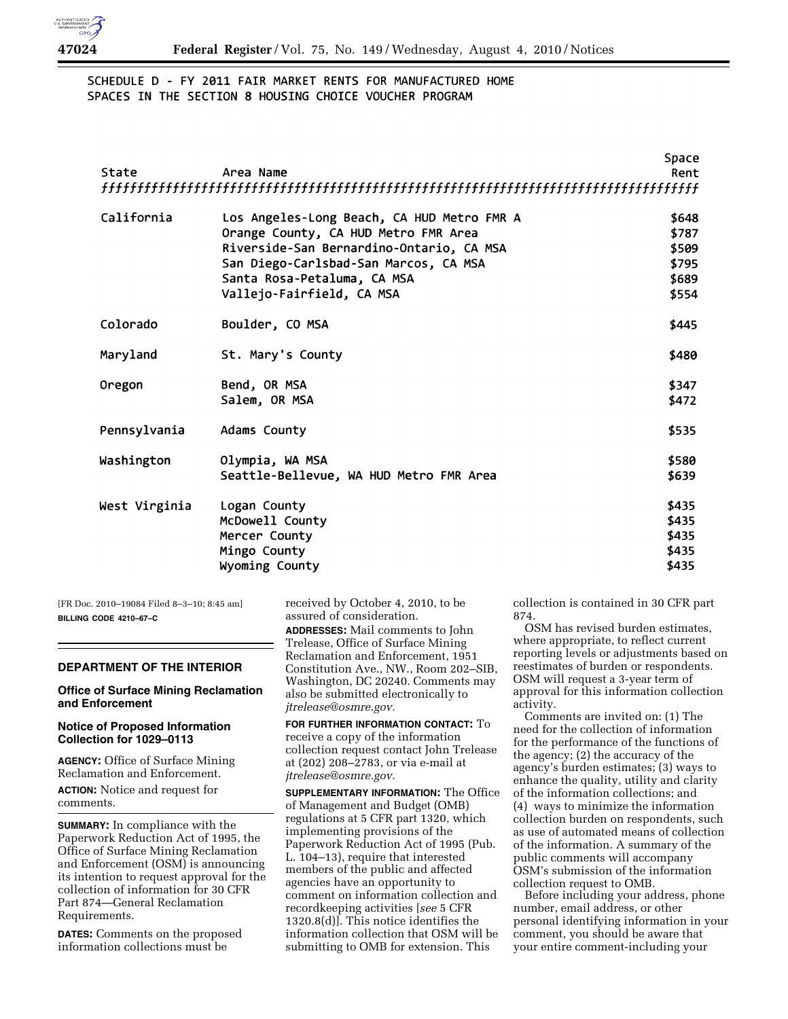

# SCHEDULE D - FY 2011 FAIR MARKET RENTS FOR MANUFACTURED HOME SPACES IN THE SECTION 8 HOUSING CHOICE VOUCHER PROGRAM

|               |                                            | Space |
|---------------|--------------------------------------------|-------|
| State         | Area Name                                  | Rent  |
|               |                                            |       |
| California    | Los Angeles-Long Beach, CA HUD Metro FMR A | \$648 |
|               | Orange County, CA HUD Metro FMR Area       | \$787 |
|               | Riverside-San Bernardino-Ontario, CA MSA   | \$509 |
|               | San Diego-Carlsbad-San Marcos, CA MSA      | \$795 |
|               | Santa Rosa-Petaluma, CA MSA                | \$689 |
|               | Vallejo-Fairfield, CA MSA                  | \$554 |
| Colorado      | Boulder, CO MSA                            | \$445 |
| Maryland      | St. Mary's County                          | \$480 |
| Oregon        | Bend, OR MSA                               | \$347 |
|               | Salem, OR MSA                              | \$472 |
| Pennsylvania  | Adams County                               | \$535 |
| Washington    | Olympia, WA MSA                            | \$580 |
|               | Seattle-Bellevue, WA HUD Metro FMR Area    | \$639 |
| West Virginia | Logan County                               | \$435 |
|               | McDowell County                            | \$435 |
|               | Mercer County                              | \$435 |
|               | Mingo County                               | \$435 |
|               | Wyoming County                             | \$435 |
|               |                                            |       |

[FR Doc. 2010–19084 Filed 8–3–10; 8:45 am] **BILLING CODE 4210–67–C** 

### **DEPARTMENT OF THE INTERIOR**

### **Office of Surface Mining Reclamation and Enforcement**

### **Notice of Proposed Information Collection for 1029–0113**

**AGENCY:** Office of Surface Mining Reclamation and Enforcement.

**ACTION:** Notice and request for comments.

**SUMMARY:** In compliance with the Paperwork Reduction Act of 1995, the Office of Surface Mining Reclamation and Enforcement (OSM) is announcing its intention to request approval for the collection of information for 30 CFR Part 874—General Reclamation Requirements.

**DATES:** Comments on the proposed information collections must be

received by October 4, 2010, to be assured of consideration. **ADDRESSES:** Mail comments to John Trelease, Office of Surface Mining Reclamation and Enforcement, 1951 Constitution Ave., NW., Room 202–SIB, Washington, DC 20240. Comments may also be submitted electronically to *[jtrelease@osmre.gov.](mailto:jtrelease@osmre.gov)* 

**FOR FURTHER INFORMATION CONTACT:** To receive a copy of the information collection request contact John Trelease at (202) 208–2783, or via e-mail at *[jtrelease@osmre.gov.](mailto:jtrelease@osmre.gov)* 

**SUPPLEMENTARY INFORMATION:** The Office of Management and Budget (OMB) regulations at 5 CFR part 1320, which implementing provisions of the Paperwork Reduction Act of 1995 (Pub. L. 104–13), require that interested members of the public and affected agencies have an opportunity to comment on information collection and recordkeeping activities [*see* 5 CFR 1320.8(d)]. This notice identifies the information collection that OSM will be submitting to OMB for extension. This

collection is contained in 30 CFR part 874.

OSM has revised burden estimates, where appropriate, to reflect current reporting levels or adjustments based on reestimates of burden or respondents. OSM will request a 3-year term of approval for this information collection activity.

Comments are invited on: (1) The need for the collection of information for the performance of the functions of the agency; (2) the accuracy of the agency's burden estimates; (3) ways to enhance the quality, utility and clarity of the information collections; and (4) ways to minimize the information collection burden on respondents, such as use of automated means of collection of the information. A summary of the public comments will accompany OSM's submission of the information collection request to OMB.

Before including your address, phone number, email address, or other personal identifying information in your comment, you should be aware that your entire comment-including your